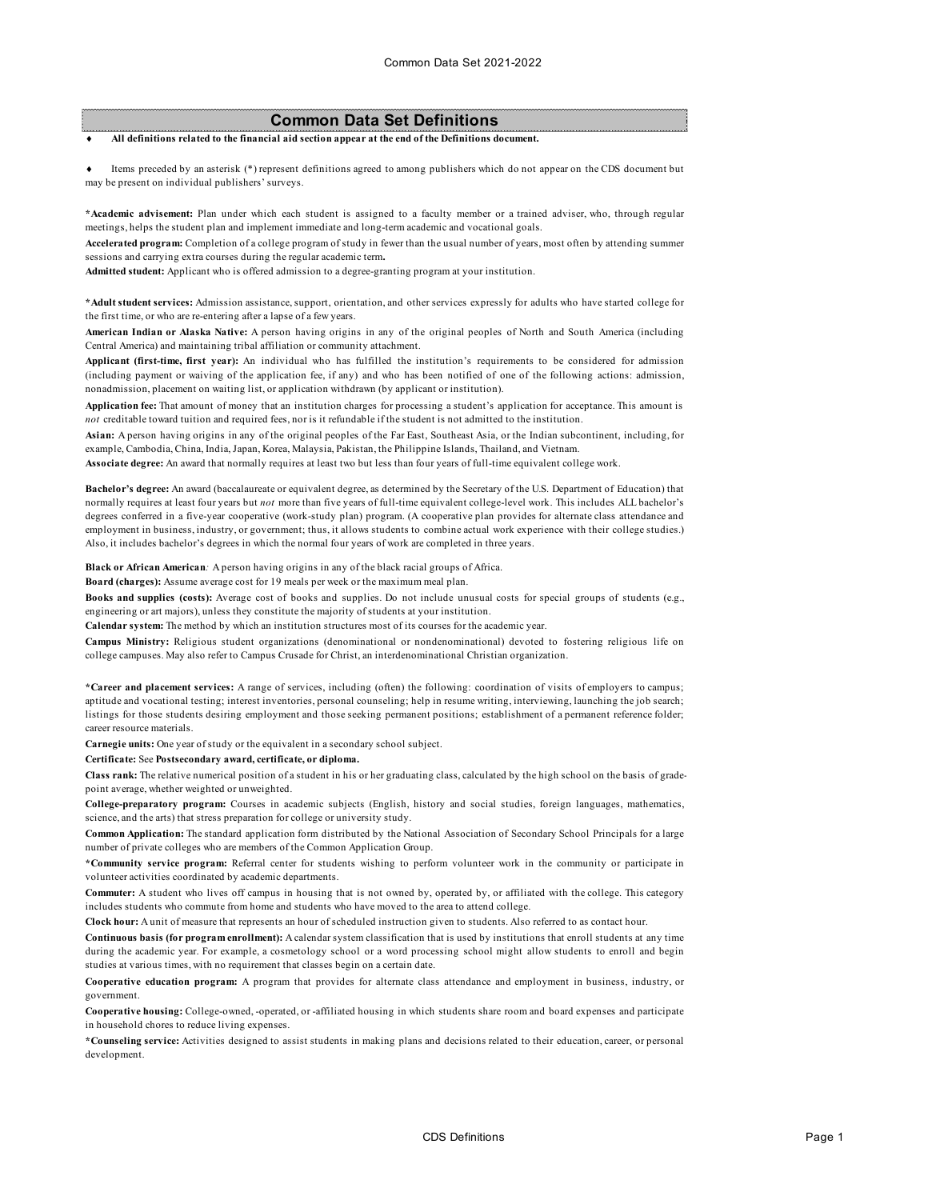# **Common Data Set Definitions**

#### All definitions related to the financial aid section appear at the end of the Definitions document.

Items preceded by an asterisk (\*) represent definitions agreed to among publishers which do not appear on the CDS document but may be present on individual publishers' surveys.

**\*Academic advisement:** Plan under which each student is assigned to a faculty member or a trained adviser, who, through regular meetings, helps the student plan and implement immediate and long-term academic and vocational goals.

**Accelerated program:** Completion of a college program of study in fewer than the usual number of years, most often by attending summer sessions and carrying extra courses during the regular academic term**.**

**Admitted student:** Applicant who is offered admission to a degree-granting program at your institution.

**\*Adult student services:** Admission assistance, support, orientation, and other services expressly for adults who have started college for the first time, or who are re-entering after a lapse of a few years.

**American Indian or Alaska Native:** A person having origins in any of the original peoples of North and South America (including Central America) and maintaining tribal affiliation or community attachment.

**Applicant (first-time, first year):** An individual who has fulfilled the institution's requirements to be considered for admission (including payment or waiving of the application fee, if any) and who has been notified of one of the following actions: admission, nonadmission, placement on waiting list, or application withdrawn (by applicant or institution).

**Application fee:** That amount of money that an institution charges for processing a student's application for acceptance. This amount is *not* creditable toward tuition and required fees, nor is it refundable if the student is not admitted to the institution.

**Asian:** A person having origins in any of the original peoples of the Far East, Southeast Asia, or the Indian subcontinent, including, for example, Cambodia, China, India, Japan, Korea, Malaysia, Pakistan, the Philippine Islands, Thailand, and Vietnam.

**Associate degree:** An award that normally requires at least two but less than four years of full-time equivalent college work.

**Bachelor's degree:** An award (baccalaureate or equivalent degree, as determined by the Secretary of the U.S. Department of Education) that normally requires at least four years but *not* more than five years of full-time equivalent college-level work. This includes ALL bachelor's degrees conferred in a five-year cooperative (work-study plan) program. (A cooperative plan provides for alternate class attendance and employment in business, industry, or government; thus, it allows students to combine actual work experience with their college studies.) Also, it includes bachelor's degrees in which the normal four years of work are completed in three years.

**Black or African American***:* A person having origins in any of the black racial groups of Africa.

**Board (charges):** Assume average cost for 19 meals per week or the maximum meal plan.

**Books and supplies (costs):** Average cost of books and supplies. Do not include unusual costs for special groups of students (e.g., engineering or art majors), unless they constitute the majority of students at your institution.

**Calendar system:** The method by which an institution structures most of its courses for the academic year.

**Campus Ministry:** Religious student organizations (denominational or nondenominational) devoted to fostering religious life on college campuses. May also refer to Campus Crusade for Christ, an interdenominational Christian organization.

**\*Career and placement services:** A range of services, including (often) the following: coordination of visits of employers to campus; aptitude and vocational testing; interest inventories, personal counseling; help in resume writing, interviewing, launching the job search; listings for those students desiring employment and those seeking permanent positions; establishment of a permanent reference folder; career resource materials.

**Carnegie units:** One year of study or the equivalent in a secondary school subject.

#### **Certificate:** See **Postsecondary award, certificate, or diploma.**

**Class rank:** The relative numerical position of a student in his or her graduating class, calculated by the high school on the basis of gradepoint average, whether weighted or unweighted.

**College-preparatory program:** Courses in academic subjects (English, history and social studies, foreign languages, mathematics, science, and the arts) that stress preparation for college or university study.

**Common Application:** The standard application form distributed by the National Association of Secondary School Principals for a large number of private colleges who are members of the Common Application Group.

**\*Community service program:** Referral center for students wishing to perform volunteer work in the community or participate in volunteer activities coordinated by academic departments.

**Commuter:** A student who lives off campus in housing that is not owned by, operated by, or affiliated with the college. This category includes students who commute from home and students who have moved to the area to attend college.

**Clock hour:** A unit of measure that represents an hour of scheduled instruction given to students. Also referred to as contact hour.

**Continuous basis (for program enrollment):** A calendar system classification that is used by institutions that enroll students at any time during the academic year. For example, a cosmetology school or a word processing school might allow students to enroll and begin studies at various times, with no requirement that classes begin on a certain date.

**Cooperative education program:** A program that provides for alternate class attendance and employment in business, industry, or government.

**Cooperative housing:** College-owned, -operated, or -affiliated housing in which students share room and board expenses and participate in household chores to reduce living expenses.

**\*Counseling service:** Activities designed to assist students in making plans and decisions related to their education, career, or personal development.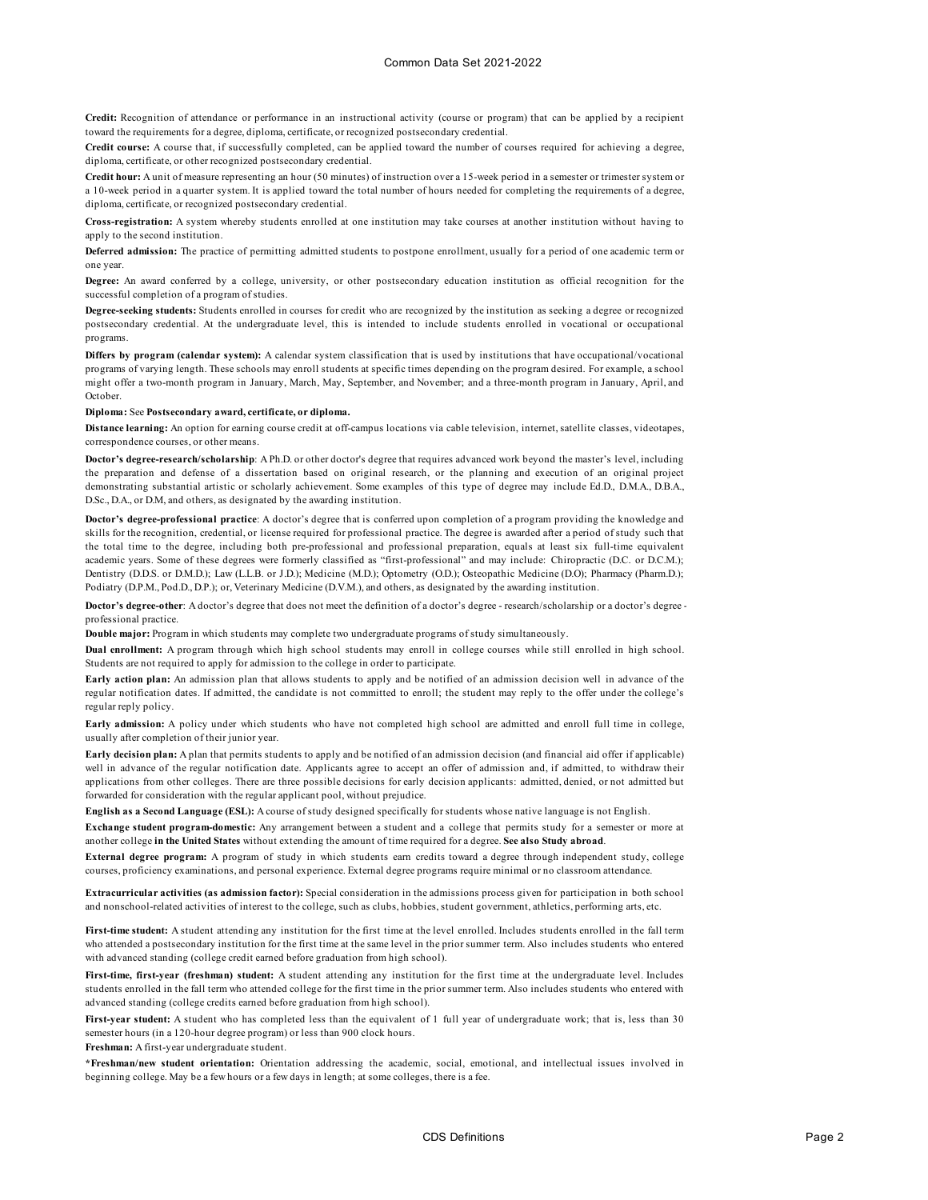**Credit:** Recognition of attendance or performance in an instructional activity (course or program) that can be applied by a recipient toward the requirements for a degree, diploma, certificate, or recognized postsecondary credential.

**Credit course:** A course that, if successfully completed, can be applied toward the number of courses required for achieving a degree, diploma, certificate, or other recognized postsecondary credential.

**Credit hour:** A unit of measure representing an hour (50 minutes) of instruction over a 15-week period in a semester or trimester system or a 10-week period in a quarter system. It is applied toward the total number of hours needed for completing the requirements of a degree, diploma, certificate, or recognized postsecondary credential.

**Cross-registration:** A system whereby students enrolled at one institution may take courses at another institution without having to apply to the second institution.

**Deferred admission:** The practice of permitting admitted students to postpone enrollment, usually for a period of one academic term or one year.

**Degree:** An award conferred by a college, university, or other postsecondary education institution as official recognition for the successful completion of a program of studies.

**Degree-seeking students:** Students enrolled in courses for credit who are recognized by the institution as seeking a degree or recognized postsecondary credential. At the undergraduate level, this is intended to include students enrolled in vocational or occupational programs.

**Differs by program (calendar system):** A calendar system classification that is used by institutions that have occupational/vocational programs of varying length. These schools may enroll students at specific times depending on the program desired. For example, a school might offer a two-month program in January, March, May, September, and November; and a three-month program in January, April, and October.

**Diploma:** See **Postsecondary award, certificate, or diploma.**

**Distance learning:** An option for earning course credit at off-campus locations via cable television, internet, satellite classes, videotapes, correspondence courses, or other means.

**Doctor's degree-research/scholarship**: A Ph.D. or other doctor's degree that requires advanced work beyond the master's level, including the preparation and defense of a dissertation based on original research, or the planning and execution of an original project demonstrating substantial artistic or scholarly achievement. Some examples of this type of degree may include Ed.D., D.M.A., D.B.A., D.Sc., D.A., or D.M, and others, as designated by the awarding institution.

**Doctor's degree-professional practice**: A doctor's degree that is conferred upon completion of a program providing the knowledge and skills for the recognition, credential, or license required for professional practice. The degree is awarded after a period of study such that the total time to the degree, including both pre-professional and professional preparation, equals at least six full-time equivalent academic years. Some of these degrees were formerly classified as "first-professional" and may include: Chiropractic (D.C. or D.C.M.); Dentistry (D.D.S. or D.M.D.); Law (L.L.B. or J.D.); Medicine (M.D.); Optometry (O.D.); Osteopathic Medicine (D.O); Pharmacy (Pharm.D.); Podiatry (D.P.M., Pod.D., D.P.); or, Veterinary Medicine (D.V.M.), and others, as designated by the awarding institution.

**Doctor's degree-other**: A doctor's degree that does not meet the definition of a doctor's degree - research/scholarship or a doctor's degree professional practice.

**Double major:** Program in which students may complete two undergraduate programs of study simultaneously.

**Dual enrollment:** A program through which high school students may enroll in college courses while still enrolled in high school. Students are not required to apply for admission to the college in order to participate.

**Early action plan:** An admission plan that allows students to apply and be notified of an admission decision well in advance of the regular notification dates. If admitted, the candidate is not committed to enroll; the student may reply to the offer under the college's regular reply policy.

**Early admission:** A policy under which students who have not completed high school are admitted and enroll full time in college, usually after completion of their junior year.

**Early decision plan:** A plan that permits students to apply and be notified of an admission decision (and financial aid offer if applicable) well in advance of the regular notification date. Applicants agree to accept an offer of admission and, if admitted, to withdraw their applications from other colleges. There are three possible decisions for early decision applicants: admitted, denied, or not admitted but forwarded for consideration with the regular applicant pool, without prejudice.

**English as a Second Language (ESL):** A course of study designed specifically for students whose native language is not English.

**Exchange student program-domestic:** Any arrangement between a student and a college that permits study for a semester or more at another college **in the United States** without extending the amount of time required for a degree. **See also Study abroad**.

**External degree program:** A program of study in which students earn credits toward a degree through independent study, college courses, proficiency examinations, and personal experience. External degree programs require minimal or no classroom attendance.

**Extracurricular activities (as admission factor):** Special consideration in the admissions process given for participation in both school and nonschool-related activities of interest to the college, such as clubs, hobbies, student government, athletics, performing arts, etc.

**First-time student:** A student attending any institution for the first time at the level enrolled. Includes students enrolled in the fall term who attended a postsecondary institution for the first time at the same level in the prior summer term. Also includes students who entered with advanced standing (college credit earned before graduation from high school).

**First-time, first-year (freshman) student:** A student attending any institution for the first time at the undergraduate level. Includes students enrolled in the fall term who attended college for the first time in the prior summer term. Also includes students who entered with advanced standing (college credits earned before graduation from high school).

**First-year student:** A student who has completed less than the equivalent of 1 full year of undergraduate work; that is, less than 30 semester hours (in a 120-hour degree program) or less than 900 clock hours.

**Freshman:** A first-year undergraduate student.

**\*Freshman/new student orientation:** Orientation addressing the academic, social, emotional, and intellectual issues involved in beginning college. May be a few hours or a few days in length; at some colleges, there is a fee.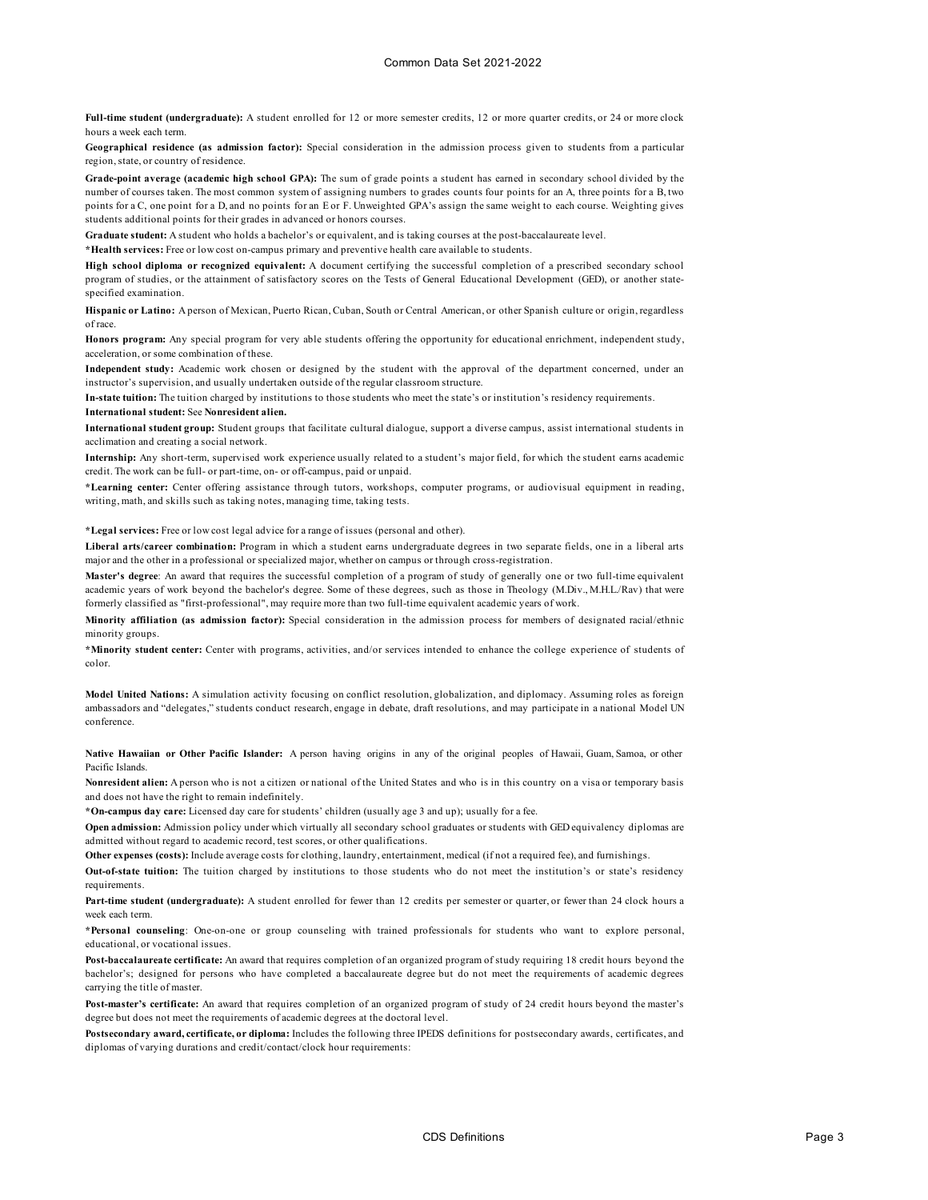**Full-time student (undergraduate):** A student enrolled for 12 or more semester credits, 12 or more quarter credits, or 24 or more clock hours a week each term.

**Geographical residence (as admission factor):** Special consideration in the admission process given to students from a particular region, state, or country of residence.

**Grade-point average (academic high school GPA):** The sum of grade points a student has earned in secondary school divided by the number of courses taken. The most common system of assigning numbers to grades counts four points for an A, three points for a B, two points for a C, one point for a D, and no points for an E or F. Unweighted GPA's assign the same weight to each course. Weighting gives students additional points for their grades in advanced or honors courses.

**Graduate student:** A student who holds a bachelor's or equivalent, and is taking courses at the post-baccalaureate level.

**\*Health services:** Free or low cost on-campus primary and preventive health care available to students.

**High school diploma or recognized equivalent:** A document certifying the successful completion of a prescribed secondary school program of studies, or the attainment of satisfactory scores on the Tests of General Educational Development (GED), or another statespecified examination.

**Hispanic or Latino:** A person of Mexican, Puerto Rican, Cuban, South or Central American, or other Spanish culture or origin, regardless of race.

**Honors program:** Any special program for very able students offering the opportunity for educational enrichment, independent study, acceleration, or some combination of these.

**Independent study:** Academic work chosen or designed by the student with the approval of the department concerned, under an instructor's supervision, and usually undertaken outside of the regular classroom structure.

**In-state tuition:** The tuition charged by institutions to those students who meet the state's or institution's residency requirements. **International student:** See **Nonresident alien.**

**International student group:** Student groups that facilitate cultural dialogue, support a diverse campus, assist international students in acclimation and creating a social network.

**Internship:** Any short-term, supervised work experience usually related to a student's major field, for which the student earns academic credit. The work can be full- or part-time, on- or off-campus, paid or unpaid.

**\*Learning center:** Center offering assistance through tutors, workshops, computer programs, or audiovisual equipment in reading, writing, math, and skills such as taking notes, managing time, taking tests.

**\*Legal services:** Free or low cost legal advice for a range of issues (personal and other).

**Liberal arts/career combination:** Program in which a student earns undergraduate degrees in two separate fields, one in a liberal arts major and the other in a professional or specialized major, whether on campus or through cross‑registration.

**Master's degree**: An award that requires the successful completion of a program of study of generally one or two full-time equivalent academic years of work beyond the bachelor's degree. Some of these degrees, such as those in Theology (M.Div., M.H.L./Rav) that were formerly classified as "first-professional", may require more than two full-time equivalent academic years of work.

**Minority affiliation (as admission factor):** Special consideration in the admission process for members of designated racial/ethnic minority groups.

**\*Minority student center:** Center with programs, activities, and/or services intended to enhance the college experience of students of color.

**Model United Nations:** A simulation activity focusing on conflict resolution, globalization, and diplomacy. Assuming roles as foreign ambassadors and "delegates," students conduct research, engage in debate, draft resolutions, and may participate in a national Model UN conference.

**Native Hawaiian or Other Pacific Islander:** A person having origins in any of the original peoples of Hawaii, Guam, Samoa, or other Pacific Islands.

**Nonresident alien:** A person who is not a citizen or national of the United States and who is in this country on a visa or temporary basis and does not have the right to remain indefinitely.

**\*On-campus day care:** Licensed day care for students' children (usually age 3 and up); usually for a fee.

**Open admission:** Admission policy under which virtually all secondary school graduates or students with GED equivalency diplomas are admitted without regard to academic record, test scores, or other qualifications.

**Other expenses (costs):** Include average costs for clothing, laundry, entertainment, medical (if not a required fee), and furnishings.

**Out-of-state tuition:** The tuition charged by institutions to those students who do not meet the institution's or state's residency requirements.

**Part-time student (undergraduate):** A student enrolled for fewer than 12 credits per semester or quarter, or fewer than 24 clock hours a week each term.

**\*Personal counseling**: One-on-one or group counseling with trained professionals for students who want to explore personal, educational, or vocational issues.

**Post-baccalaureate certificate:** An award that requires completion of an organized program of study requiring 18 credit hours beyond the bachelor's; designed for persons who have completed a baccalaureate degree but do not meet the requirements of academic degrees carrying the title of master.

**Post-master's certificate:** An award that requires completion of an organized program of study of 24 credit hours beyond the master's degree but does not meet the requirements of academic degrees at the doctoral level.

**Postsecondary award, certificate, or diploma:** Includes the following three IPEDS definitions for postsecondary awards, certificates, and diplomas of varying durations and credit/contact/clock hour requirements: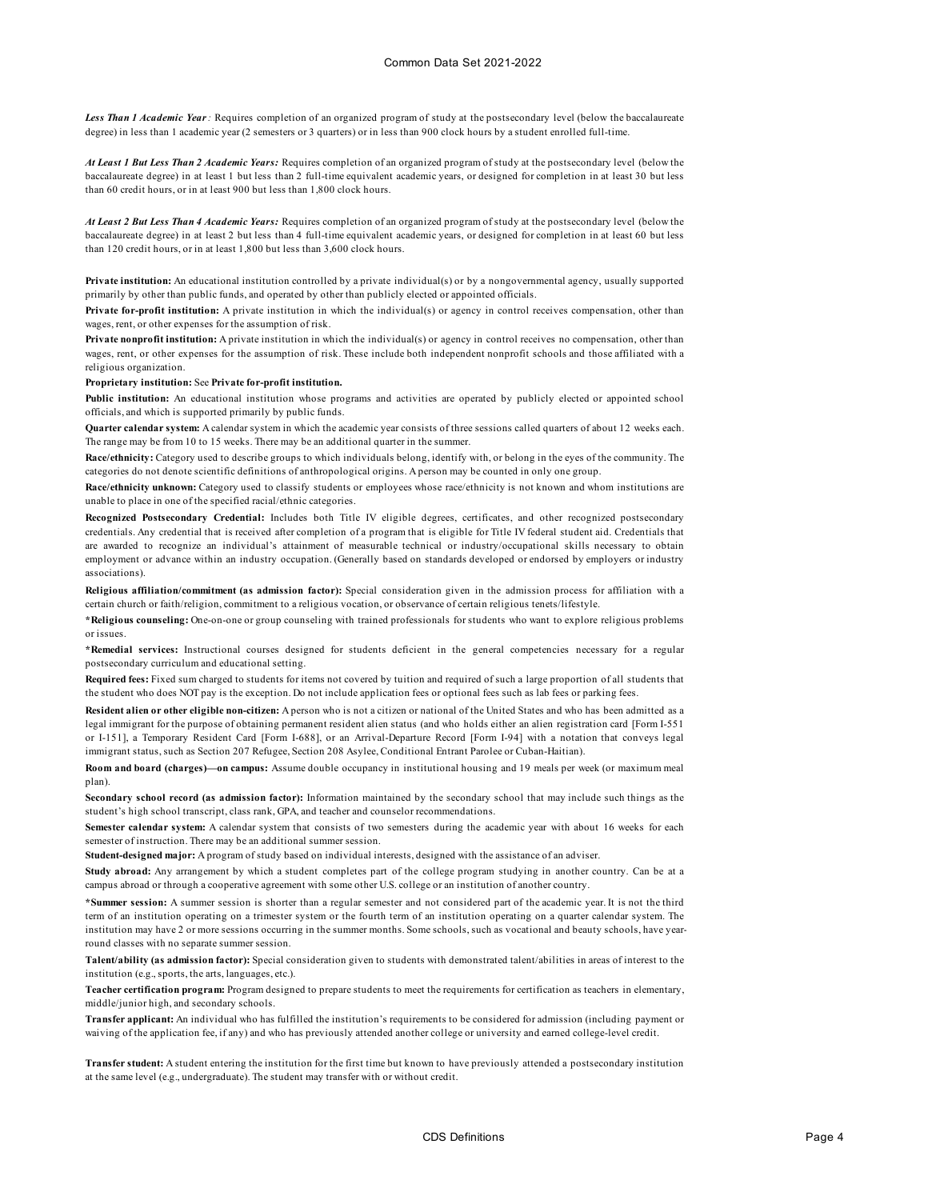*Less Than 1 Academic Year:* Requires completion of an organized program of study at the postsecondary level (below the baccalaureate degree) in less than 1 academic year (2 semesters or 3 quarters) or in less than 900 clock hours by a student enrolled full-time.

*At Least 1 But Less Than 2 Academic Years:* Requires completion of an organized program of study at the postsecondary level (below the baccalaureate degree) in at least 1 but less than 2 full-time equivalent academic years, or designed for completion in at least 30 but less than 60 credit hours, or in at least 900 but less than 1,800 clock hours.

*At Least 2 But Less Than 4 Academic Years:* Requires completion of an organized program of study at the postsecondary level (below the baccalaureate degree) in at least 2 but less than 4 full-time equivalent academic years, or designed for completion in at least 60 but less than 120 credit hours, or in at least 1,800 but less than 3,600 clock hours.

**Private institution:** An educational institution controlled by a private individual(s) or by a nongovernmental agency, usually supported primarily by other than public funds, and operated by other than publicly elected or appointed officials.

**Private for-profit institution:** A private institution in which the individual(s) or agency in control receives compensation, other than wages, rent, or other expenses for the assumption of risk.

**Private nonprofit institution:** A private institution in which the individual(s) or agency in control receives no compensation, other than wages, rent, or other expenses for the assumption of risk. These include both independent nonprofit schools and those affiliated with a religious organization.

## **Proprietary institution:** See **Private for-profit institution.**

**Public institution:** An educational institution whose programs and activities are operated by publicly elected or appointed school officials, and which is supported primarily by public funds.

**Quarter calendar system:** A calendar system in which the academic year consists of three sessions called quarters of about 12 weeks each. The range may be from 10 to 15 weeks. There may be an additional quarter in the summer.

**Race/ethnicity:** Category used to describe groups to which individuals belong, identify with, or belong in the eyes of the community. The categories do not denote scientific definitions of anthropological origins. A person may be counted in only one group.

**Race/ethnicity unknown:** Category used to classify students or employees whose race/ethnicity is not known and whom institutions are unable to place in one of the specified racial/ethnic categories.

**Recognized Postsecondary Credential:** Includes both Title IV eligible degrees, certificates, and other recognized postsecondary credentials. Any credential that is received after completion of a program that is eligible for Title IV federal student aid. Credentials that are awarded to recognize an individual's attainment of measurable technical or industry/occupational skills necessary to obtain employment or advance within an industry occupation. (Generally based on standards developed or endorsed by employers or industry associations).

**Religious affiliation/commitment (as admission factor):** Special consideration given in the admission process for affiliation with a certain church or faith/religion, commitment to a religious vocation, or observance of certain religious tenets/lifestyle.

**\*Religious counseling:** One-on-one or group counseling with trained professionals for students who want to explore religious problems or issues.

**\*Remedial services:** Instructional courses designed for students deficient in the general competencies necessary for a regular postsecondary curriculum and educational setting.

**Required fees:** Fixed sum charged to students for items not covered by tuition and required of such a large proportion of all students that the student who does NOT pay is the exception. Do not include application fees or optional fees such as lab fees or parking fees.

**Resident alien or other eligible non-citizen:** A person who is not a citizen or national of the United States and who has been admitted as a legal immigrant for the purpose of obtaining permanent resident alien status (and who holds either an alien registration card [Form I-551 or I-151], a Temporary Resident Card [Form I-688], or an Arrival-Departure Record [Form I-94] with a notation that conveys legal immigrant status, such as Section 207 Refugee, Section 208 Asylee, Conditional Entrant Parolee or Cuban-Haitian).

**Room and board (charges)—on campus:** Assume double occupancy in institutional housing and 19 meals per week (or maximum meal plan).

**Secondary school record (as admission factor):** Information maintained by the secondary school that may include such things as the student's high school transcript, class rank, GPA, and teacher and counselor recommendations.

**Semester calendar system:** A calendar system that consists of two semesters during the academic year with about 16 weeks for each semester of instruction. There may be an additional summer session.

**Student-designed major:** A program of study based on individual interests, designed with the assistance of an adviser.

**Study abroad:** Any arrangement by which a student completes part of the college program studying in another country. Can be at a campus abroad or through a cooperative agreement with some other U.S. college or an institution of another country.

**\*Summer session:** A summer session is shorter than a regular semester and not considered part of the academic year. It is not the third term of an institution operating on a trimester system or the fourth term of an institution operating on a quarter calendar system. The institution may have 2 or more sessions occurring in the summer months. Some schools, such as vocational and beauty schools, have yearround classes with no separate summer session.

**Talent/ability (as admission factor):** Special consideration given to students with demonstrated talent/abilities in areas of interest to the institution (e.g., sports, the arts, languages, etc.).

**Teacher certification program:** Program designed to prepare students to meet the requirements for certification as teachers in elementary, middle/junior high, and secondary schools.

**Transfer applicant:** An individual who has fulfilled the institution's requirements to be considered for admission (including payment or waiving of the application fee, if any) and who has previously attended another college or university and earned college-level credit.

**Transfer student:** A student entering the institution for the first time but known to have previously attended a postsecondary institution at the same level (e.g., undergraduate). The student may transfer with or without credit.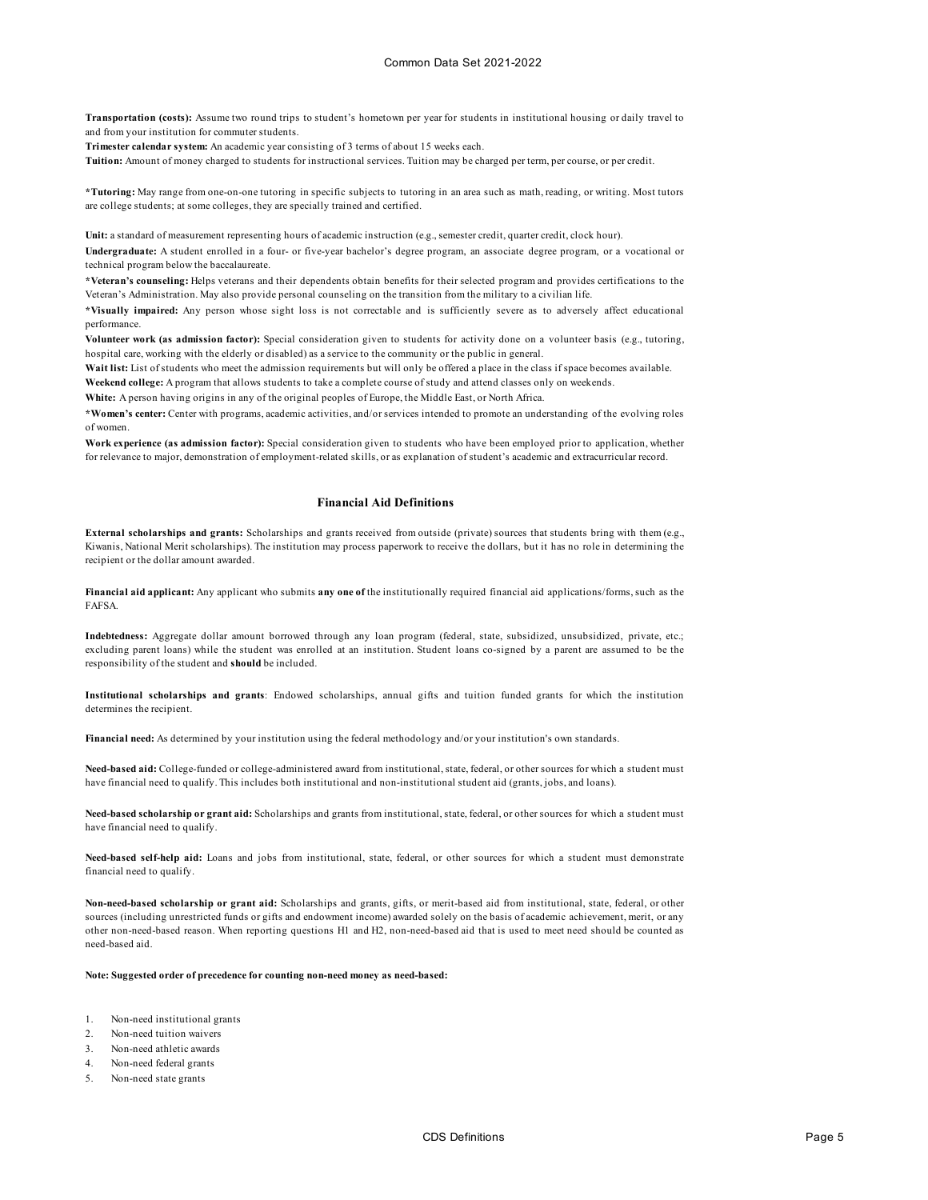**Transportation (costs):** Assume two round trips to student's hometown per year for students in institutional housing or daily travel to and from your institution for commuter students.

**Trimester calendar system:** An academic year consisting of 3 terms of about 15 weeks each.

**Tuition:** Amount of money charged to students for instructional services. Tuition may be charged per term, per course, or per credit.

**\*Tutoring:** May range from one-on-one tutoring in specific subjects to tutoring in an area such as math, reading, or writing. Most tutors are college students; at some colleges, they are specially trained and certified.

**Unit:** a standard of measurement representing hours of academic instruction (e.g., semester credit, quarter credit, clock hour).

**Undergraduate:** A student enrolled in a four- or five-year bachelor's degree program, an associate degree program, or a vocational or technical program below the baccalaureate.

**\*Veteran's counseling:** Helps veterans and their dependents obtain benefits for their selected program and provides certifications to the Veteran's Administration. May also provide personal counseling on the transition from the military to a civilian life.

**\*Visually impaired:** Any person whose sight loss is not correctable and is sufficiently severe as to adversely affect educational performance.

**Volunteer work (as admission factor):** Special consideration given to students for activity done on a volunteer basis (e.g., tutoring, hospital care, working with the elderly or disabled) as a service to the community or the public in general.

**Wait list:** List of students who meet the admission requirements but will only be offered a place in the class if space becomes available. **Weekend college:** A program that allows students to take a complete course of study and attend classes only on weekends.

**White:** A person having origins in any of the original peoples of Europe, the Middle East, or North Africa.

**\*Women's center:** Center with programs, academic activities, and/or services intended to promote an understanding of the evolving roles of women.

**Work experience (as admission factor):** Special consideration given to students who have been employed prior to application, whether for relevance to major, demonstration of employment-related skills, or as explanation of student's academic and extracurricular record.

# **Financial Aid Definitions**

**External scholarships and grants:** Scholarships and grants received from outside (private) sources that students bring with them (e.g., Kiwanis, National Merit scholarships). The institution may process paperwork to receive the dollars, but it has no role in determining the recipient or the dollar amount awarded.

**Financial aid applicant:** Any applicant who submits **any one of** the institutionally required financial aid applications/forms, such as the FAFSA.

**Indebtedness:** Aggregate dollar amount borrowed through any loan program (federal, state, subsidized, unsubsidized, private, etc.; excluding parent loans) while the student was enrolled at an institution. Student loans co-signed by a parent are assumed to be the responsibility of the student and **should** be included.

**Institutional scholarships and grants**: Endowed scholarships, annual gifts and tuition funded grants for which the institution determines the recipient.

**Financial need:** As determined by your institution using the federal methodology and/or your institution's own standards.

**Need-based aid:** College-funded or college-administered award from institutional, state, federal, or other sources for which a student must have financial need to qualify. This includes both institutional and non-institutional student aid (grants, jobs, and loans).

**Need-based scholarship or grant aid:** Scholarships and grants from institutional, state, federal, or other sources for which a student must have financial need to qualify.

**Need-based self-help aid:** Loans and jobs from institutional, state, federal, or other sources for which a student must demonstrate financial need to qualify.

**Non-need-based scholarship or grant aid:** Scholarships and grants, gifts, or merit-based aid from institutional, state, federal, or other sources (including unrestricted funds or gifts and endowment income) awarded solely on the basis of academic achievement, merit, or any other non-need-based reason. When reporting questions H1 and H2, non-need-based aid that is used to meet need should be counted as need-based aid.

### **Note: Suggested order of precedence for counting non-need money as need-based:**

- 1. Non-need institutional grants
- 2. Non-need tuition waivers
- 3. Non-need athletic awards
- 4. Non-need federal grants
- 5. Non-need state grants